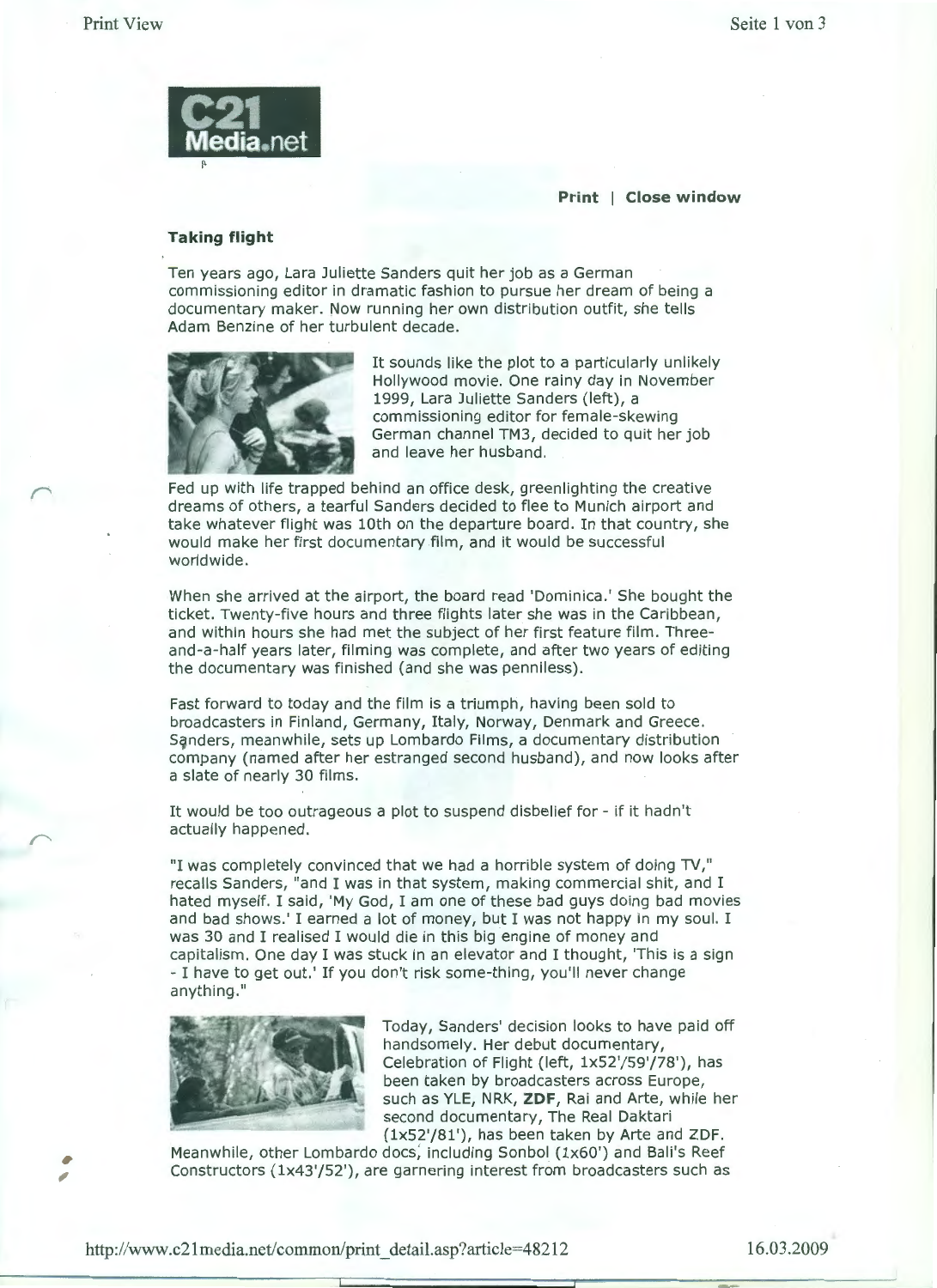

**Print | Close window** 

## **Taking flight**

Ten years ago, Lara Juliette Sanders quit her job as a German commissioning editor in dramatic fashion to pursue her dream of being a documentary maker. Now running her own distribution outfit, she tells Adam Benzine of her turbulent decade.



It sounds like the plot to a particularly unlikely Hollywood movie. One rainy day in November 1999, Lara Juliette Sanders (left), a commissioning editor for female-skewing German channel TM3, decided to quit her job and leave her husband.

Fed up with life trapped behind an office desk, greenlighting the creative dreams of others, a tearful Sanders decided to flee to Munich airport and take whatever flight was lOth on the departure board. In that country, she would make her first documentary film, and it would be successful worldwide.

When she arrived at the airport, the board read 'Dominica.' She bought the ticket. Twenty-five hours and three flights later she was in the Caribbean, and within hours she had met the subject of her first feature film. Threeand-a-half years later, filming was complete, and after two years of editing the documentary was finished (and she was penniless).

Fast forward to today and the film is a triumph, having been sold to broadcasters in Finland, Germany, Italy, Norway, Denmark and Greece. Sqnders, meanwhile, sets up Lombardo Films, a documentary distribution company (named after her estranged second husband), and now looks after a slate of nearly 30 films.

It would be too outrageous a plot to suspend disbelief for - if it hadn't actually happened.

"I was completely convinced that we had a horrible system of doing TV," recalls Sanders, "and I was in that system, making commercial shit, and I hated myself. I said, 'My God, I am one of these bad guys doing bad movies and bad shows.' I earned a lot of money, but I was not happy in my soul. I was 30 and I realised I would die in this big engine of money and capitalism. One day I was stuck in an elevator and I thought, 'This is a sign - I have to get out.' If you don't risk some-thing, you'll never change anything.''



Today, Sanders' decision looks to have paid off handsomely. Her debut documentary, Celebration of Flight (left, lx52'/59'/78'), has been taken by broadcasters across Europe, such as YLE, NRK, **ZDF,** Rai and Arte, while her second documentary, The Real Daktari (lx52'/81'), has been taken by Arte and ZDF.

Meanwhile, other Lombardo docs, including Sonbol (1x60') and Bali's Reef Constructors (lx43'/52'), are garnering interest from broadcasters such as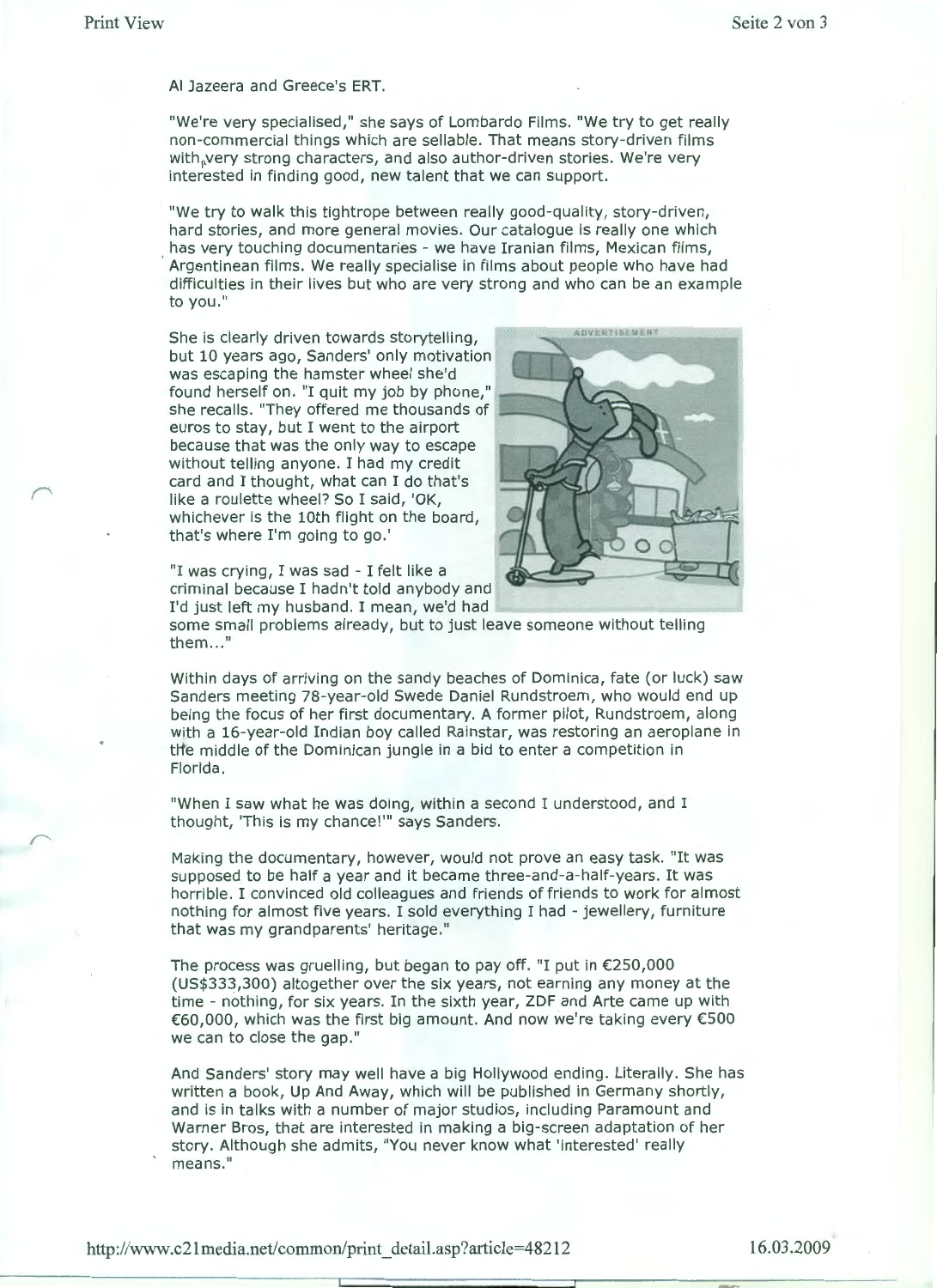AI Jazeera and Greece's ERT.

"We're very specialised," she says of Lombardo Films. "We try to get really non-commercial things which are sellable. That means story-driven films with, very strong characters, and also author-driven stories. We're very interested in finding good, new talent that we can support.

"We try to walk this tightrope between really good-quality, story-driven, hard stories, and more general movies. Our catalogue is really one which has very touching documentaries - we have Iranian films, Mexican films, ·Argentinean films. We really specialise in films about people who have had difficulties in their lives but who are very strong and who can be an example to you."

She is clearly driven towards storytelling, but 10 years ago, Sanders' only motivation was escaping the hamster wheel she'd was escaping the namster wheel she'd<br>found herself on. "I quit my job by phone," found herself on. "I quit my job by phone,"<br>she recalls. "They offered me thousands of euros to stay, but I went to the airport because that was the only way to escape without telling anyone. I had my credit card and I thought, what can I do that's like a roulette wheel? So I said, 'OK, whichever is the 10th flight on the board, that's where I'm going to go.'

"I was crying, I was sad - I felt like a criminal because I hadn't told anybody and I'd just left my husband. I mean, we'd had



some small problems already, but to just leave someone without telling them..."

Within days of arriving on the sandy beaches of Dominica, fate (or luck) saw Sanders meeting 78-year-old Swede Daniel Rundstroem, who would end up being the focus of her first documentary. A former pilot, Rundstroem, along with a 16-year-old Indian boy called Rainstar, was restoring an aeroplane in ttfe middle of the Dominican jungle in a bid to enter a competition in Florida.

"When I saw what he was doing, within a second I understood, and I thought, 'This is my chance!"' says Sanders.

Making the documentary, however, would not prove an easy task. "It was supposed to be half a year and it became three-and-a-half-years. It was horrible. I convinced old colleagues and friends of friends to work for almost nothing for almost five years. I sold everything I had - jewellery, furniture that was my grandparents' heritage."

The process was gruelling, but began to pay off. "I put in  $\epsilon$ 250,000 (US\$333,300) altogether over the six years, not earning any money at the time - nothing, for six years. In the sixth year, ZDF and Arte came up with €60,000, which was the first big amount. And now we're taking every €500 we can to close the gap."

And Sanders' story may well have a big Hollywood ending. Literally. She has written a book, Up And Away, which will be published in Germany shortly, and is in talks with a number of major studios, including Paramount and Warner Bros, that are interested in making a big-screen adaptation of her story. Although she admits, "You never know what 'interested' really means."